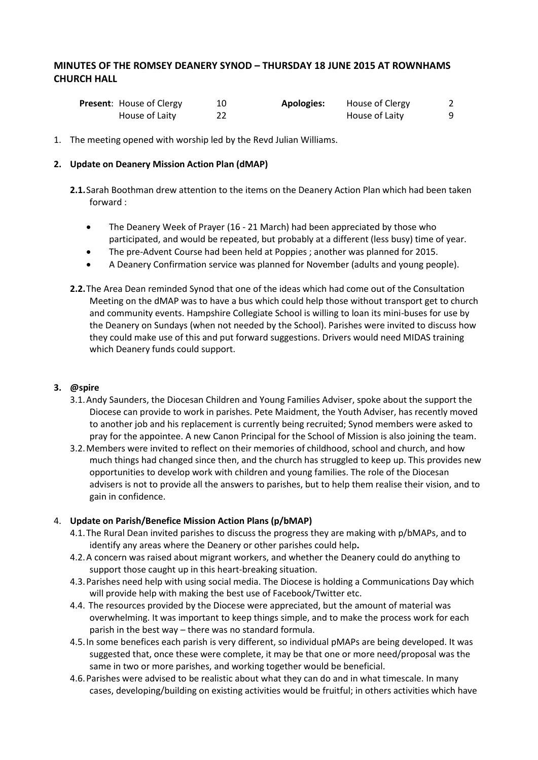# **MINUTES OF THE ROMSEY DEANERY SYNOD – THURSDAY 18 JUNE 2015 AT ROWNHAMS CHURCH HALL**

| <b>Present:</b> House of Clergy | <b>Apologies:</b> | House of Clergy |  |
|---------------------------------|-------------------|-----------------|--|
| House of Laity                  |                   | House of Laity  |  |

1. The meeting opened with worship led by the Revd Julian Williams.

#### **2. Update on Deanery Mission Action Plan (dMAP)**

- **2.1.**Sarah Boothman drew attention to the items on the Deanery Action Plan which had been taken forward :
	- The Deanery Week of Prayer (16 21 March) had been appreciated by those who participated, and would be repeated, but probably at a different (less busy) time of year.
	- The pre-Advent Course had been held at Poppies ; another was planned for 2015.
	- A Deanery Confirmation service was planned for November (adults and young people).
- **2.2.**The Area Dean reminded Synod that one of the ideas which had come out of the Consultation Meeting on the dMAP was to have a bus which could help those without transport get to church and community events. Hampshire Collegiate School is willing to loan its mini-buses for use by the Deanery on Sundays (when not needed by the School). Parishes were invited to discuss how they could make use of this and put forward suggestions. Drivers would need MIDAS training which Deanery funds could support.

### **3. @spire**

- 3.1.Andy Saunders, the Diocesan Children and Young Families Adviser, spoke about the support the Diocese can provide to work in parishes. Pete Maidment, the Youth Adviser, has recently moved to another job and his replacement is currently being recruited; Synod members were asked to pray for the appointee. A new Canon Principal for the School of Mission is also joining the team.
- 3.2.Members were invited to reflect on their memories of childhood, school and church, and how much things had changed since then, and the church has struggled to keep up. This provides new opportunities to develop work with children and young families. The role of the Diocesan advisers is not to provide all the answers to parishes, but to help them realise their vision, and to gain in confidence.

### 4. **Update on Parish/Benefice Mission Action Plans (p/bMAP)**

- 4.1.The Rural Dean invited parishes to discuss the progress they are making with p/bMAPs, and to identify any areas where the Deanery or other parishes could help**.**
- 4.2.A concern was raised about migrant workers, and whether the Deanery could do anything to support those caught up in this heart-breaking situation.
- 4.3.Parishes need help with using social media. The Diocese is holding a Communications Day which will provide help with making the best use of Facebook/Twitter etc.
- 4.4. The resources provided by the Diocese were appreciated, but the amount of material was overwhelming. It was important to keep things simple, and to make the process work for each parish in the best way – there was no standard formula.
- 4.5.In some benefices each parish is very different, so individual pMAPs are being developed. It was suggested that, once these were complete, it may be that one or more need/proposal was the same in two or more parishes, and working together would be beneficial.
- 4.6.Parishes were advised to be realistic about what they can do and in what timescale. In many cases, developing/building on existing activities would be fruitful; in others activities which have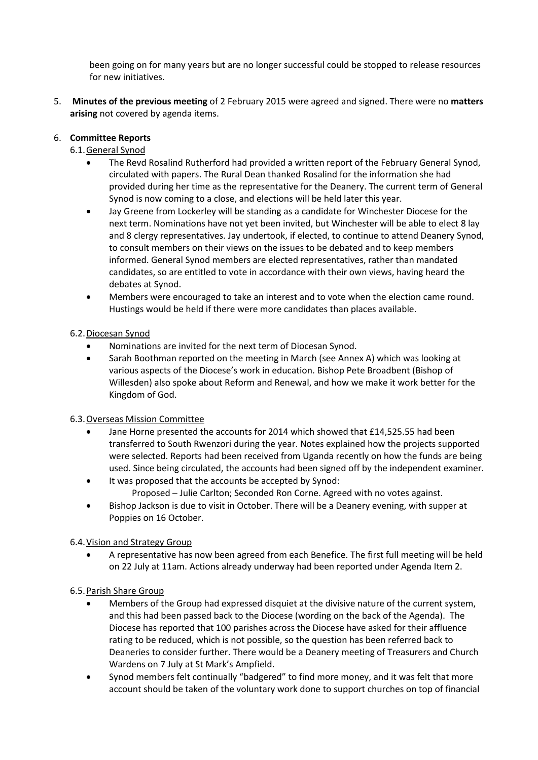been going on for many years but are no longer successful could be stopped to release resources for new initiatives.

5. **Minutes of the previous meeting** of 2 February 2015 were agreed and signed. There were no **matters arising** not covered by agenda items.

### 6. **Committee Reports**

## 6.1.General Synod

- The Revd Rosalind Rutherford had provided a written report of the February General Synod, circulated with papers. The Rural Dean thanked Rosalind for the information she had provided during her time as the representative for the Deanery. The current term of General Synod is now coming to a close, and elections will be held later this year.
- Jay Greene from Lockerley will be standing as a candidate for Winchester Diocese for the next term. Nominations have not yet been invited, but Winchester will be able to elect 8 lay and 8 clergy representatives. Jay undertook, if elected, to continue to attend Deanery Synod, to consult members on their views on the issues to be debated and to keep members informed. General Synod members are elected representatives, rather than mandated candidates, so are entitled to vote in accordance with their own views, having heard the debates at Synod.
- Members were encouraged to take an interest and to vote when the election came round. Hustings would be held if there were more candidates than places available.

### 6.2.Diocesan Synod

- Nominations are invited for the next term of Diocesan Synod.
- Sarah Boothman reported on the meeting in March (see Annex A) which was looking at various aspects of the Diocese's work in education. Bishop Pete Broadbent (Bishop of Willesden) also spoke about Reform and Renewal, and how we make it work better for the Kingdom of God.

### 6.3.Overseas Mission Committee

- Jane Horne presented the accounts for 2014 which showed that £14,525.55 had been transferred to South Rwenzori during the year. Notes explained how the projects supported were selected. Reports had been received from Uganda recently on how the funds are being used. Since being circulated, the accounts had been signed off by the independent examiner.
- It was proposed that the accounts be accepted by Synod: Proposed – Julie Carlton; Seconded Ron Corne. Agreed with no votes against.
- Bishop Jackson is due to visit in October. There will be a Deanery evening, with supper at Poppies on 16 October.

### 6.4.Vision and Strategy Group

 A representative has now been agreed from each Benefice. The first full meeting will be held on 22 July at 11am. Actions already underway had been reported under Agenda Item 2.

### 6.5.Parish Share Group

- Members of the Group had expressed disquiet at the divisive nature of the current system, and this had been passed back to the Diocese (wording on the back of the Agenda). The Diocese has reported that 100 parishes across the Diocese have asked for their affluence rating to be reduced, which is not possible, so the question has been referred back to Deaneries to consider further. There would be a Deanery meeting of Treasurers and Church Wardens on 7 July at St Mark's Ampfield.
- Synod members felt continually "badgered" to find more money, and it was felt that more account should be taken of the voluntary work done to support churches on top of financial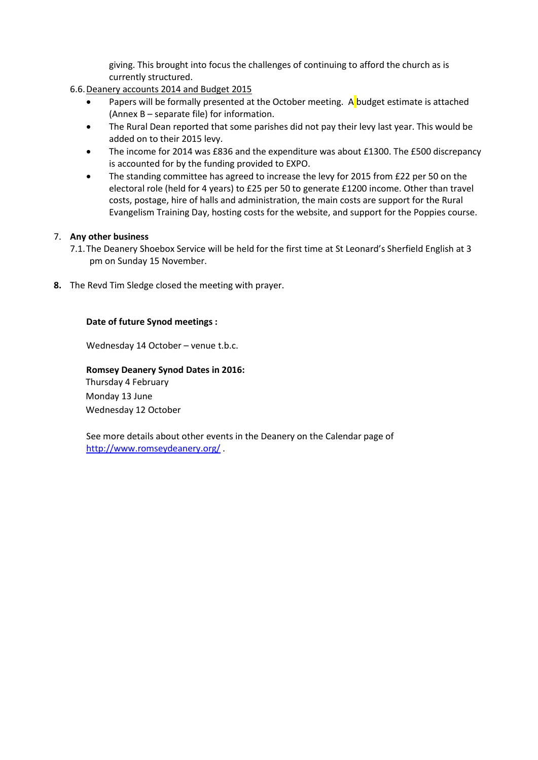giving. This brought into focus the challenges of continuing to afford the church as is currently structured.

- 6.6.Deanery accounts 2014 and Budget 2015
	- Papers will be formally presented at the October meeting. A budget estimate is attached (Annex B – separate file) for information.
	- The Rural Dean reported that some parishes did not pay their levy last year. This would be added on to their 2015 levy.
	- The income for 2014 was £836 and the expenditure was about £1300. The £500 discrepancy is accounted for by the funding provided to EXPO.
	- The standing committee has agreed to increase the levy for 2015 from £22 per 50 on the electoral role (held for 4 years) to £25 per 50 to generate £1200 income. Other than travel costs, postage, hire of halls and administration, the main costs are support for the Rural Evangelism Training Day, hosting costs for the website, and support for the Poppies course.

# 7. **Any other business**

- 7.1.The Deanery Shoebox Service will be held for the first time at St Leonard's Sherfield English at 3 pm on Sunday 15 November.
- **8.** The Revd Tim Sledge closed the meeting with prayer.

### **Date of future Synod meetings :**

Wednesday 14 October – venue t.b.c.

**Romsey Deanery Synod Dates in 2016:**

Thursday 4 February Monday 13 June Wednesday 12 October

See more details about other events in the Deanery on the Calendar page of <http://www.romseydeanery.org/> .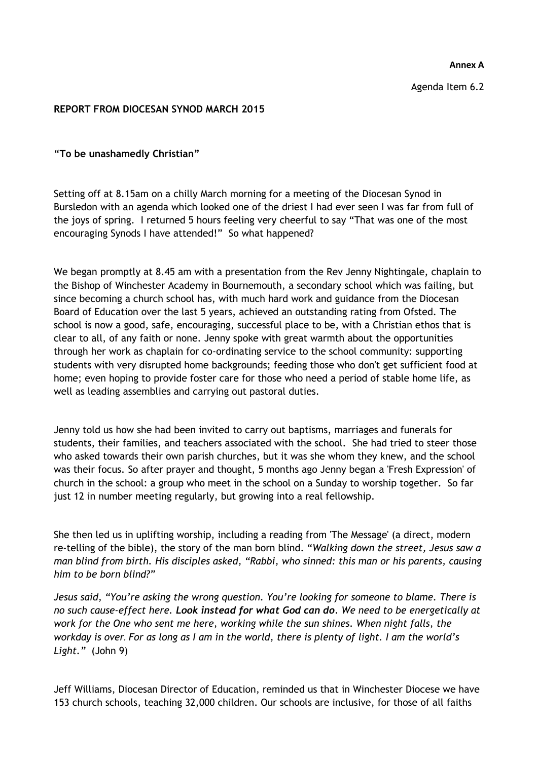**Annex A**

Agenda Item 6.2

### **REPORT FROM DIOCESAN SYNOD MARCH 2015**

#### **"To be unashamedly Christian"**

Setting off at 8.15am on a chilly March morning for a meeting of the Diocesan Synod in Bursledon with an agenda which looked one of the driest I had ever seen I was far from full of the joys of spring. I returned 5 hours feeling very cheerful to say "That was one of the most encouraging Synods I have attended!" So what happened?

We began promptly at 8.45 am with a presentation from the Rev Jenny Nightingale, chaplain to the Bishop of Winchester Academy in Bournemouth, a secondary school which was failing, but since becoming a church school has, with much hard work and guidance from the Diocesan Board of Education over the last 5 years, achieved an outstanding rating from Ofsted. The school is now a good, safe, encouraging, successful place to be, with a Christian ethos that is clear to all, of any faith or none. Jenny spoke with great warmth about the opportunities through her work as chaplain for co-ordinating service to the school community: supporting students with very disrupted home backgrounds; feeding those who don't get sufficient food at home; even hoping to provide foster care for those who need a period of stable home life, as well as leading assemblies and carrying out pastoral duties.

Jenny told us how she had been invited to carry out baptisms, marriages and funerals for students, their families, and teachers associated with the school. She had tried to steer those who asked towards their own parish churches, but it was she whom they knew, and the school was their focus. So after prayer and thought, 5 months ago Jenny began a 'Fresh Expression' of church in the school: a group who meet in the school on a Sunday to worship together. So far just 12 in number meeting regularly, but growing into a real fellowship.

She then led us in uplifting worship, including a reading from 'The Message' (a direct, modern re-telling of the bible), the story of the man born blind. "*Walking down the street, Jesus saw a man blind from birth. His disciples asked, "Rabbi, who sinned: this man or his parents, causing him to be born blind?"*

*Jesus said, "You're asking the wrong question. You're looking for someone to blame. There is no such cause-effect here. Look instead for what God can do. We need to be energetically at work for the One who sent me here, working while the sun shines. When night falls, the workday is over. For as long as I am in the world, there is plenty of light. I am the world's Light."* (John 9)

Jeff Williams, Diocesan Director of Education, reminded us that in Winchester Diocese we have 153 church schools, teaching 32,000 children. Our schools are inclusive, for those of all faiths